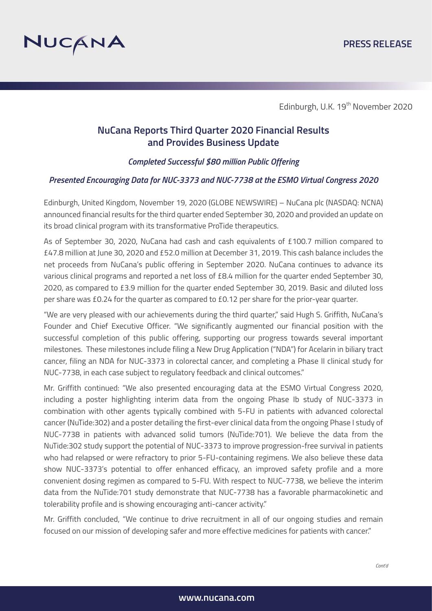

# **NuCana Reports Third Quarter 2020 Financial Results and Provides Business Update**

*Completed Successful \$80 million Public Offering* 

### *Presented Encouraging Data for NUC-3373 and NUC-7738 at the ESMO Virtual Congress 2020*

Edinburgh, United Kingdom, November 19, 2020 (GLOBE NEWSWIRE) – NuCana plc (NASDAQ: NCNA) announced financial results for the third quarter ended September 30, 2020 and provided an update on its broad clinical program with its transformative ProTide therapeutics.

As of September 30, 2020, NuCana had cash and cash equivalents of £100.7 million compared to £47.8 million at June 30, 2020 and £52.0 million at December 31, 2019. This cash balance includes the net proceeds from NuCana's public offering in September 2020. NuCana continues to advance its various clinical programs and reported a net loss of £8.4 million for the quarter ended September 30, 2020, as compared to £3.9 million for the quarter ended September 30, 2019. Basic and diluted loss per share was £0.24 for the quarter as compared to £0.12 per share for the prior-year quarter.

"We are very pleased with our achievements during the third quarter," said Hugh S. Griffith, NuCana's Founder and Chief Executive Officer. "We significantly augmented our financial position with the successful completion of this public offering, supporting our progress towards several important milestones. These milestones include filing a New Drug Application ("NDA") for Acelarin in biliary tract cancer, filing an NDA for NUC-3373 in colorectal cancer, and completing a Phase II clinical study for NUC-7738, in each case subject to regulatory feedback and clinical outcomes."

Mr. Griffith continued: "We also presented encouraging data at the ESMO Virtual Congress 2020, including a poster highlighting interim data from the ongoing Phase Ib study of NUC-3373 in combination with other agents typically combined with 5-FU in patients with advanced colorectal cancer (NuTide:302) and a poster detailing the first-ever clinical data from the ongoing Phase I study of NUC-7738 in patients with advanced solid tumors (NuTide:701). We believe the data from the NuTide:302 study support the potential of NUC-3373 to improve progression-free survival in patients who had relapsed or were refractory to prior 5-FU-containing regimens. We also believe these data show NUC-3373's potential to offer enhanced efficacy, an improved safety profile and a more convenient dosing regimen as compared to 5-FU. With respect to NUC-7738, we believe the interim data from the NuTide:701 study demonstrate that NUC-7738 has a favorable pharmacokinetic and tolerability profile and is showing encouraging anti-cancer activity."

Mr. Griffith concluded, "We continue to drive recruitment in all of our ongoing studies and remain focused on our mission of developing safer and more effective medicines for patients with cancer."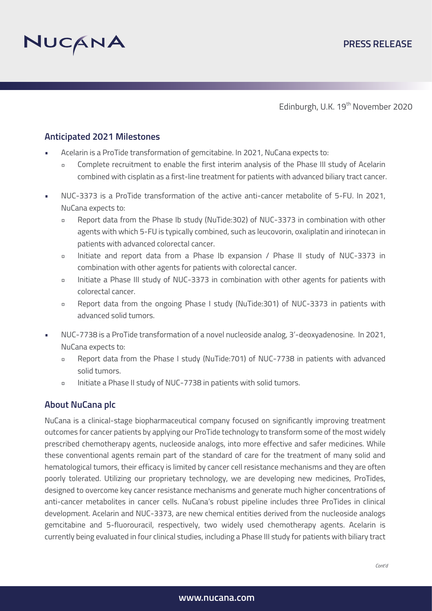

## **Anticipated 2021 Milestones**

- Acelarin is a ProTide transformation of gemcitabine. In 2021, NuCana expects to:
	- Complete recruitment to enable the first interim analysis of the Phase III study of Acelarin combined with cisplatin as a first-line treatment for patients with advanced biliary tract cancer.
- NUC-3373 is a ProTide transformation of the active anti-cancer metabolite of 5-FU. In 2021, NuCana expects to:
	- Report data from the Phase Ib study (NuTide:302) of NUC-3373 in combination with other agents with which 5-FU is typically combined, such as leucovorin, oxaliplatin and irinotecan in patients with advanced colorectal cancer.
	- Initiate and report data from a Phase Ib expansion / Phase II study of NUC-3373 in combination with other agents for patients with colorectal cancer.
	- Initiate a Phase III study of NUC-3373 in combination with other agents for patients with colorectal cancer.
	- Report data from the ongoing Phase I study (NuTide:301) of NUC-3373 in patients with advanced solid tumors.
- NUC-7738 is a ProTide transformation of a novel nucleoside analog, 3'-deoxyadenosine. In 2021, NuCana expects to:
	- Report data from the Phase I study (NuTide:701) of NUC-7738 in patients with advanced solid tumors.
	- Initiate a Phase II study of NUC-7738 in patients with solid tumors.

### **About NuCana plc**

NuCana is a clinical-stage biopharmaceutical company focused on significantly improving treatment outcomes for cancer patients by applying our ProTide technology to transform some of the most widely prescribed chemotherapy agents, nucleoside analogs, into more effective and safer medicines. While these conventional agents remain part of the standard of care for the treatment of many solid and hematological tumors, their efficacy is limited by cancer cell resistance mechanisms and they are often poorly tolerated. Utilizing our proprietary technology, we are developing new medicines, ProTides, designed to overcome key cancer resistance mechanisms and generate much higher concentrations of anti-cancer metabolites in cancer cells. NuCana's robust pipeline includes three ProTides in clinical development. Acelarin and NUC-3373, are new chemical entities derived from the nucleoside analogs gemcitabine and 5-fluorouracil, respectively, two widely used chemotherapy agents. Acelarin is currently being evaluated in four clinical studies, including a Phase III study for patients with biliary tract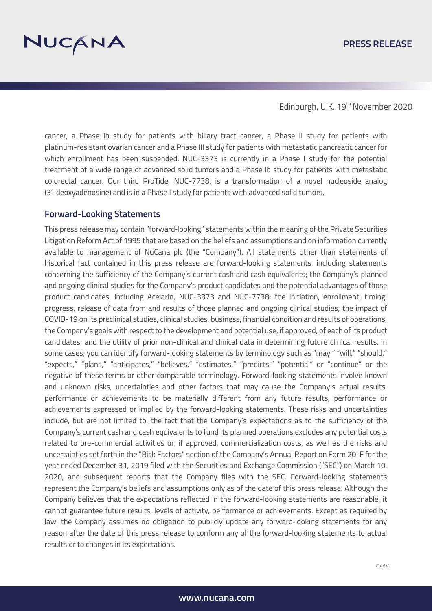

cancer, a Phase Ib study for patients with biliary tract cancer, a Phase II study for patients with platinum-resistant ovarian cancer and a Phase III study for patients with metastatic pancreatic cancer for which enrollment has been suspended. NUC-3373 is currently in a Phase I study for the potential treatment of a wide range of advanced solid tumors and a Phase Ib study for patients with metastatic colorectal cancer. Our third ProTide, NUC-7738, is a transformation of a novel nucleoside analog (3'-deoxyadenosine) and is in a Phase I study for patients with advanced solid tumors.

#### **Forward-Looking Statements**

This press release may contain "forward‐looking" statements within the meaning of the Private Securities Litigation Reform Act of 1995 that are based on the beliefs and assumptions and on information currently available to management of NuCana plc (the "Company"). All statements other than statements of historical fact contained in this press release are forward-looking statements, including statements concerning the sufficiency of the Company's current cash and cash equivalents; the Company's planned and ongoing clinical studies for the Company's product candidates and the potential advantages of those product candidates, including Acelarin, NUC-3373 and NUC-7738; the initiation, enrollment, timing, progress, release of data from and results of those planned and ongoing clinical studies; the impact of COVID-19 on its preclinical studies, clinical studies, business, financial condition and results of operations; the Company's goals with respect to the development and potential use, if approved, of each of its product candidates; and the utility of prior non-clinical and clinical data in determining future clinical results. In some cases, you can identify forward-looking statements by terminology such as "may," "will," "should," "expects," "plans," "anticipates," "believes," "estimates," "predicts," "potential" or "continue" or the negative of these terms or other comparable terminology. Forward-looking statements involve known and unknown risks, uncertainties and other factors that may cause the Company's actual results, performance or achievements to be materially different from any future results, performance or achievements expressed or implied by the forward-looking statements. These risks and uncertainties include, but are not limited to, the fact that the Company's expectations as to the sufficiency of the Company's current cash and cash equivalents to fund its planned operations excludes any potential costs related to pre-commercial activities or, if approved, commercialization costs, as well as the risks and uncertainties set forth in the "Risk Factors" section of the Company's Annual Report on Form 20-F for the year ended December 31, 2019 filed with the Securities and Exchange Commission ("SEC") on March 10, 2020, and subsequent reports that the Company files with the SEC. Forward-looking statements represent the Company's beliefs and assumptions only as of the date of this press release. Although the Company believes that the expectations reflected in the forward-looking statements are reasonable, it cannot guarantee future results, levels of activity, performance or achievements. Except as required by law, the Company assumes no obligation to publicly update any forward-looking statements for any reason after the date of this press release to conform any of the forward-looking statements to actual results or to changes in its expectations.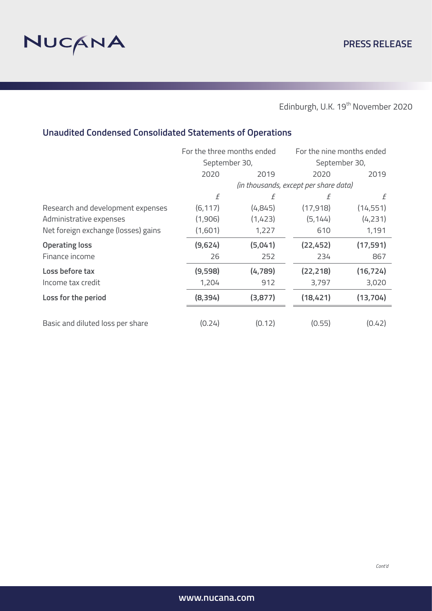

# **Unaudited Condensed Consolidated Statements of Operations**

|                                     | For the three months ended            |         | For the nine months ended |           |
|-------------------------------------|---------------------------------------|---------|---------------------------|-----------|
|                                     | September 30,                         |         | September 30,             |           |
|                                     | 2020                                  | 2019    | 2020                      | 2019      |
|                                     | (in thousands, except per share data) |         |                           |           |
|                                     | f                                     | f       | f                         | f         |
| Research and development expenses   | (6, 117)                              | (4,845) | (17, 918)                 | (14, 551) |
| Administrative expenses             | (1,906)                               | (1,423) | (5, 144)                  | (4,231)   |
| Net foreign exchange (losses) gains | (1,601)                               | 1,227   | 610                       | 1,191     |
| <b>Operating loss</b>               | (9,624)                               | (5,041) | (22, 452)                 | (17, 591) |
| Finance income                      | 26                                    | 252     | 234                       | 867       |
| Loss before tax                     | (9,598)                               | (4,789) | (22, 218)                 | (16, 724) |
| Income tax credit                   | 1,204                                 | 912     | 3,797                     | 3,020     |
| Loss for the period                 | (8, 394)                              | (3,877) | (18, 421)                 | (13, 704) |
|                                     |                                       |         |                           |           |
| Basic and diluted loss per share    | (0.24)                                | (0.12)  | (0.55)                    | (0.42)    |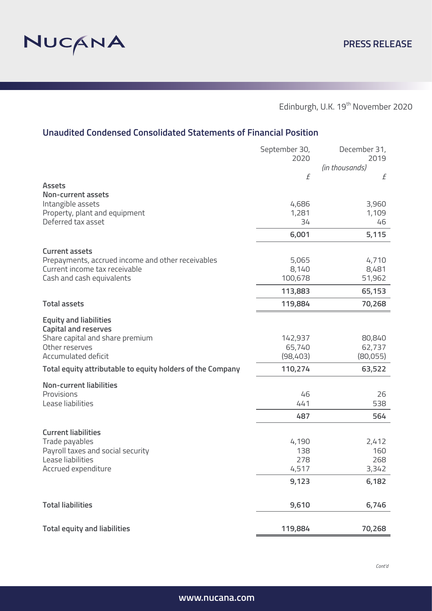

# **Unaudited Condensed Consolidated Statements of Financial Position**

|                                                              | September 30,<br>2020 | December 31,<br>2019<br>(in thousands) |
|--------------------------------------------------------------|-----------------------|----------------------------------------|
|                                                              | f                     | £                                      |
| <b>Assets</b><br><b>Non-current assets</b>                   |                       |                                        |
| Intangible assets                                            | 4,686                 | 3,960                                  |
| Property, plant and equipment                                | 1,281                 | 1,109                                  |
| Deferred tax asset                                           | 34                    | 46                                     |
|                                                              | 6,001                 | 5,115                                  |
| <b>Current assets</b>                                        |                       |                                        |
| Prepayments, accrued income and other receivables            | 5,065                 | 4,710                                  |
| Current income tax receivable                                | 8,140                 | 8,481                                  |
| Cash and cash equivalents                                    | 100,678               | 51,962                                 |
|                                                              | 113,883               | 65,153                                 |
| <b>Total assets</b>                                          | 119,884               | 70,268                                 |
| <b>Equity and liabilities</b><br><b>Capital and reserves</b> |                       |                                        |
| Share capital and share premium                              | 142,937               | 80,840                                 |
| Other reserves                                               | 65,740                | 62,737                                 |
| Accumulated deficit                                          | (98,403)              | (80,055)                               |
| Total equity attributable to equity holders of the Company   | 110,274               | 63,522                                 |
| <b>Non-current liabilities</b>                               |                       |                                        |
| Provisions                                                   | 46                    | 26                                     |
| Lease liabilities                                            | 441                   | 538                                    |
|                                                              | 487                   | 564                                    |
| <b>Current liabilities</b>                                   |                       |                                        |
| Trade payables                                               | 4,190                 | 2,412                                  |
| Payroll taxes and social security                            | 138                   | 160                                    |
| Lease liabilities                                            | 278                   | 268                                    |
| Accrued expenditure                                          | 4,517                 | 3,342                                  |
|                                                              | 9,123                 | 6,182                                  |
| <b>Total liabilities</b>                                     | 9,610                 | 6,746                                  |
|                                                              |                       |                                        |
| <b>Total equity and liabilities</b>                          | 119,884               | 70,268                                 |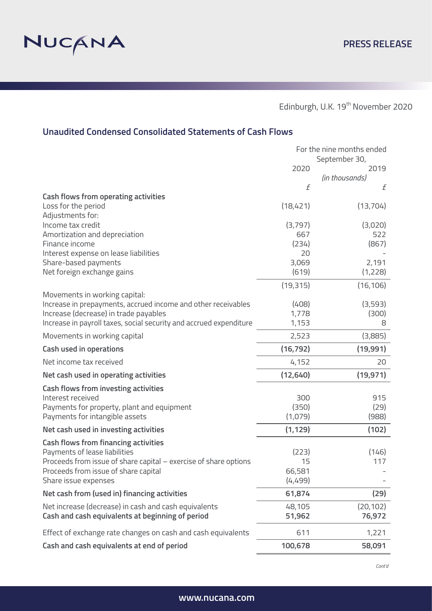

# **Unaudited Condensed Consolidated Statements of Cash Flows**

|                                                                    | For the nine months ended |                       |  |
|--------------------------------------------------------------------|---------------------------|-----------------------|--|
|                                                                    | 2020                      | September 30,<br>2019 |  |
|                                                                    |                           | (in thousands)        |  |
|                                                                    | f                         | f                     |  |
| <b>Cash flows from operating activities</b>                        |                           |                       |  |
| Loss for the period                                                | (18,421)                  | (13,704)              |  |
| Adjustments for:                                                   |                           |                       |  |
| Income tax credit<br>Amortization and depreciation                 | (3,797)<br>667            | (3,020)<br>522        |  |
| Finance income                                                     | (234)                     | (867)                 |  |
| Interest expense on lease liabilities                              | 20                        |                       |  |
| Share-based payments                                               | 3,069                     | 2,191                 |  |
| Net foreign exchange gains                                         | (619)                     | (1,228)               |  |
|                                                                    | (19, 315)                 | (16, 106)             |  |
| Movements in working capital:                                      |                           |                       |  |
| Increase in prepayments, accrued income and other receivables      | (408)                     | (3,593)               |  |
| Increase (decrease) in trade payables                              | 1,778                     | (300)                 |  |
| Increase in payroll taxes, social security and accrued expenditure | 1,153                     | 8                     |  |
| Movements in working capital                                       | 2,523                     | (3,885)               |  |
| Cash used in operations                                            | (16, 792)                 | (19,991)              |  |
| Net income tax received                                            | 4,152                     | 20                    |  |
| Net cash used in operating activities                              | (12, 640)                 | (19, 971)             |  |
| <b>Cash flows from investing activities</b>                        |                           |                       |  |
| Interest received                                                  | 300                       | 915                   |  |
| Payments for property, plant and equipment                         | (350)                     | (29)                  |  |
| Payments for intangible assets                                     | (1,079)                   | (988)                 |  |
| Net cash used in investing activities                              | (1, 129)                  | (102)                 |  |
| <b>Cash flows from financing activities</b>                        |                           |                       |  |
| Payments of lease liabilities                                      | (223)                     | (146)                 |  |
| Proceeds from issue of share capital - exercise of share options   | 15                        | 117                   |  |
| Proceeds from issue of share capital                               | 66,581                    |                       |  |
| Share issue expenses                                               | (4,499)                   |                       |  |
| Net cash from (used in) financing activities                       | 61,874                    | (29)                  |  |
| Net increase (decrease) in cash and cash equivalents               | 48,105                    | (20, 102)             |  |
| Cash and cash equivalents at beginning of period                   | 51,962                    | 76,972                |  |
| Effect of exchange rate changes on cash and cash equivalents       | 611                       | 1,221                 |  |
| Cash and cash equivalents at end of period                         | 100,678                   | 58,091                |  |